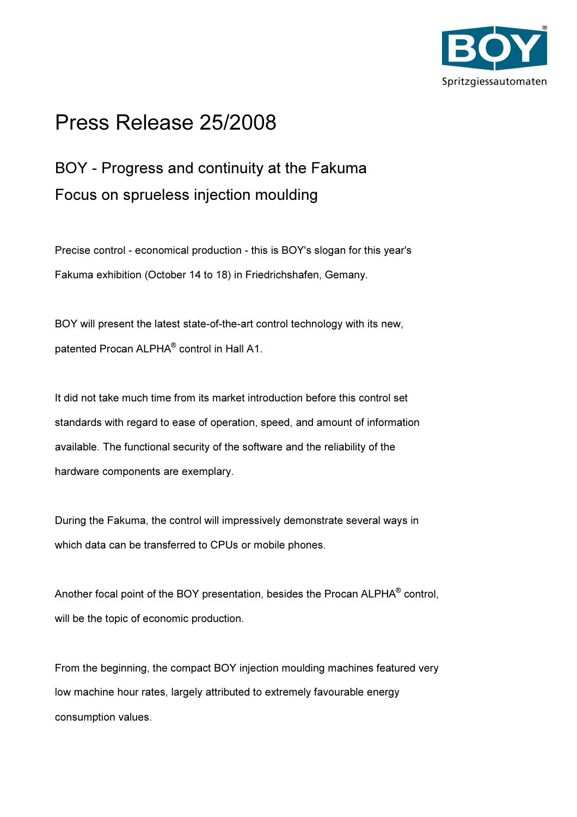

## Press Release 25/2008

## BOY - Progress and continuity at the Fakuma Focus on sprueless injection moulding

Precise control - economical production - this is BOY's slogan for this year's Fakuma exhibition (October 14 to 18) in Friedrichshafen, Gemany.

BOY will present the latest state-of-the-art control technology with its new, patented Procan ALPHA<sup>®</sup> control in Hall A1.

It did not take much time from its market introduction before this control set standards with regard to ease of operation, speed, and amount of information available. The functional security of the software and the reliability of the hardware components are exemplary.

During the Fakuma, the control will impressively demonstrate several ways in which data can be transferred to CPUs or mobile phones.

Another focal point of the BOY presentation, besides the Procan ALPHA® control, will be the topic of economic production.

From the beginning, the compact BOY injection moulding machines featured very low machine hour rates, largely attributed to extremely favourable energy consumption values.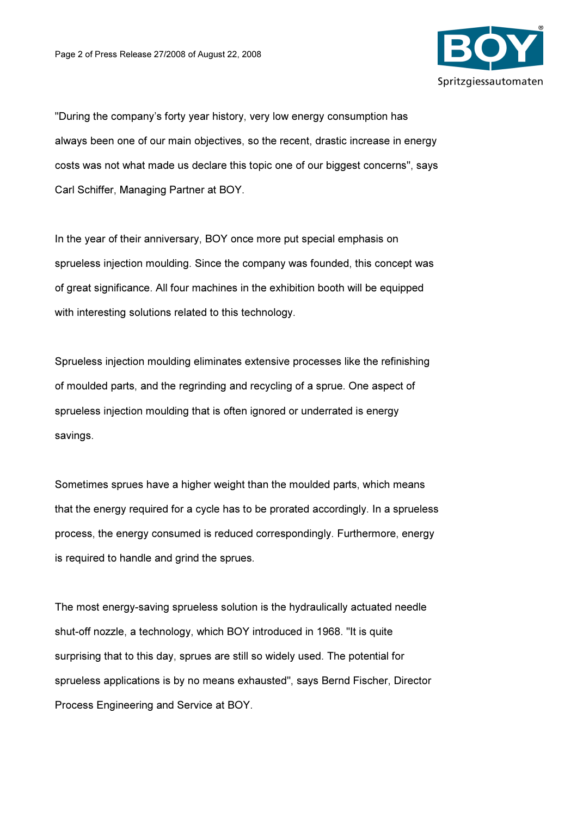

"During the company's forty year history, very low energy consumption has always been one of our main objectives, so the recent, drastic increase in energy costs was not what made us declare this topic one of our biggest concerns", says Carl Schiffer, Managing Partner at BOY.

In the year of their anniversary, BOY once more put special emphasis on sprueless injection moulding. Since the company was founded, this concept was of great significance. All four machines in the exhibition booth will be equipped with interesting solutions related to this technology.

Sprueless injection moulding eliminates extensive processes like the refinishing of moulded parts, and the regrinding and recycling of a sprue. One aspect of sprueless injection moulding that is often ignored or underrated is energy savings.

Sometimes sprues have a higher weight than the moulded parts, which means that the energy required for a cycle has to be prorated accordingly. In a sprueless process, the energy consumed is reduced correspondingly. Furthermore, energy is required to handle and grind the sprues.

The most energy-saving sprueless solution is the hydraulically actuated needle shut-off nozzle, a technology, which BOY introduced in 1968. "It is quite surprising that to this day, sprues are still so widely used. The potential for sprueless applications is by no means exhausted", says Bernd Fischer, Director Process Engineering and Service at BOY.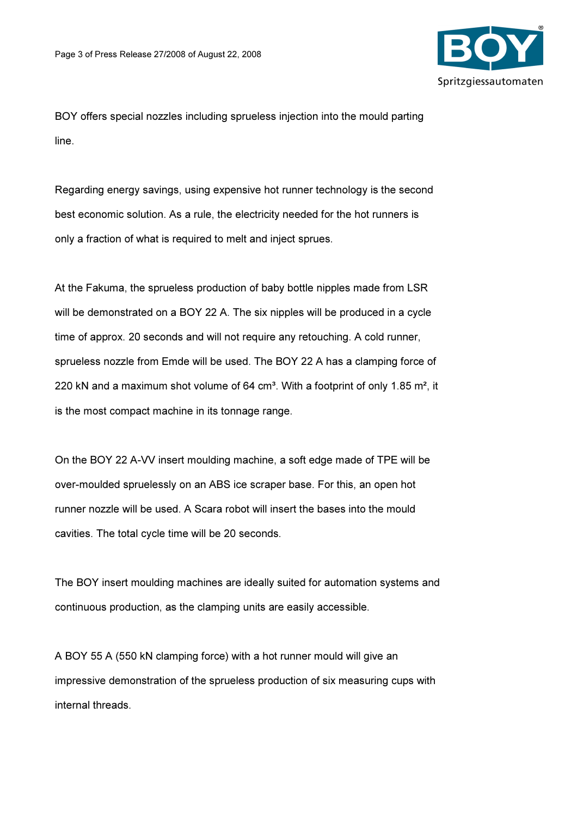

BOY offers special nozzles including sprueless injection into the mould parting line.

Regarding energy savings, using expensive hot runner technology is the second best economic solution. As a rule, the electricity needed for the hot runners is only a fraction of what is required to melt and inject sprues.

At the Fakuma, the sprueless production of baby bottle nipples made from LSR will be demonstrated on a BOY 22 A. The six nipples will be produced in a cycle time of approx. 20 seconds and will not require any retouching. A cold runner, sprueless nozzle from Emde will be used. The BOY 22 A has a clamping force of 220 kN and a maximum shot volume of 64 cm<sup>3</sup>. With a footprint of only 1.85 m<sup>2</sup>, it is the most compact machine in its tonnage range.

On the BOY 22 A-VV insert moulding machine, a soft edge made of TPE will be over-moulded spruelessly on an ABS ice scraper base. For this, an open hot runner nozzle will be used. A Scara robot will insert the bases into the mould cavities. The total cycle time will be 20 seconds.

The BOY insert moulding machines are ideally suited for automation systems and continuous production, as the clamping units are easily accessible.

A BOY 55 A (550 kN clamping force) with a hot runner mould will give an impressive demonstration of the sprueless production of six measuring cups with internal threads.